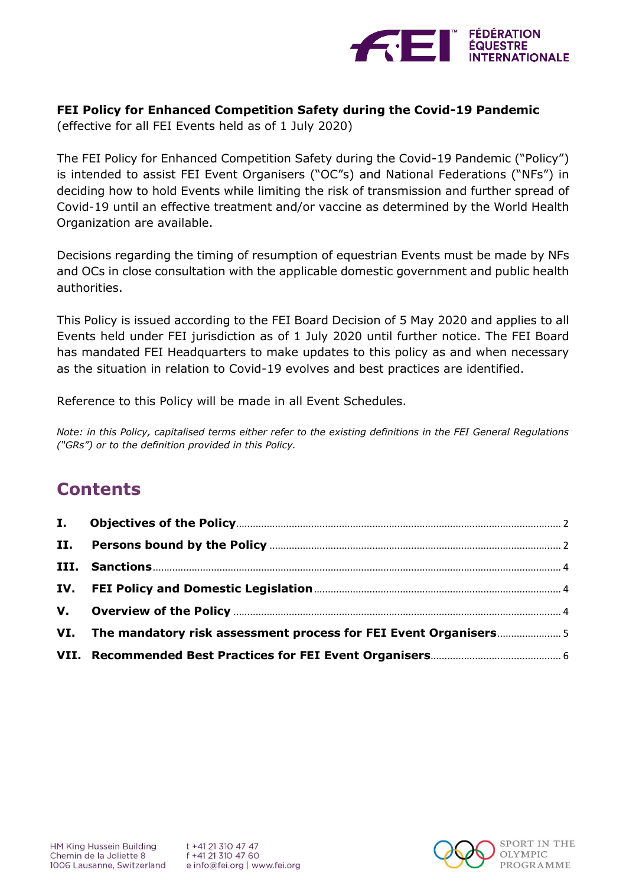

## **FEI Policy for Enhanced Competition Safety during the Covid-19 Pandemic**

(effective for all FEI Events held as of 1 July 2020)

The FEI Policy for Enhanced Competition Safety during the Covid-19 Pandemic ("Policy") is intended to assist FEI Event Organisers ("OC"s) and National Federations ("NFs") in deciding how to hold Events while limiting the risk of transmission and further spread of Covid-19 until an effective treatment and/or vaccine as determined by the World Health Organization are available.

Decisions regarding the timing of resumption of equestrian Events must be made by NFs and OCs in close consultation with the applicable domestic government and public health authorities.

This Policy is issued according to the FEI Board Decision of 5 May 2020 and applies to all Events held under FEI jurisdiction as of 1 July 2020 until further notice. The FEI Board has mandated FEI Headquarters to make updates to this policy as and when necessary as the situation in relation to Covid-19 evolves and best practices are identified.

Reference to this Policy will be made in all Event Schedules.

*Note: in this Policy, capitalised terms either refer to the existing definitions in the FEI General Regulations ("GRs") or to the definition provided in this Policy.*

# **Contents**

| VI. The mandatory risk assessment process for FEI Event Organisers5 |  |
|---------------------------------------------------------------------|--|
|                                                                     |  |

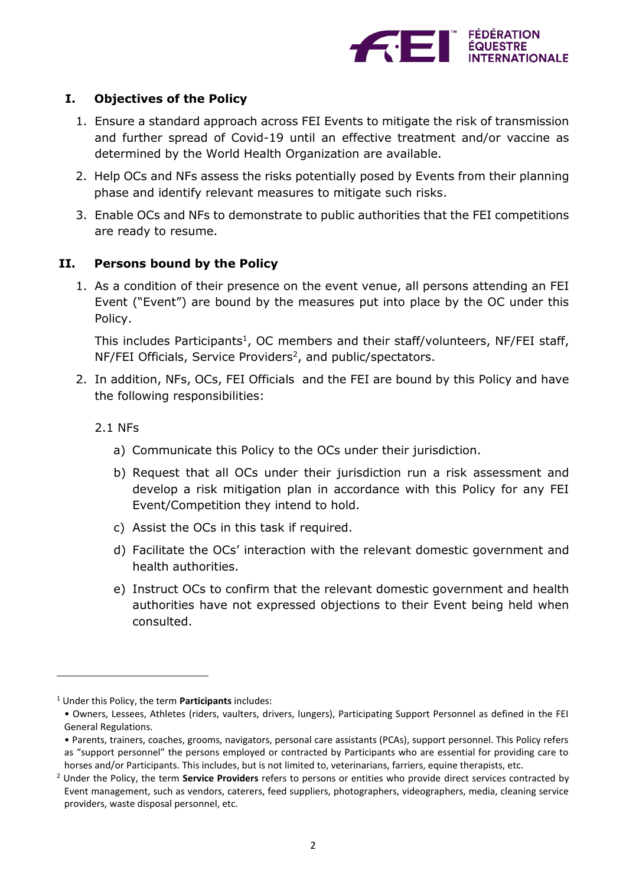

# <span id="page-1-0"></span>**I. Objectives of the Policy**

- 1. Ensure a standard approach across FEI Events to mitigate the risk of transmission and further spread of Covid-19 until an effective treatment and/or vaccine as determined by the World Health Organization are available.
- 2. Help OCs and NFs assess the risks potentially posed by Events from their planning phase and identify relevant measures to mitigate such risks.
- 3. Enable OCs and NFs to demonstrate to public authorities that the FEI competitions are ready to resume.

## <span id="page-1-1"></span>**II. Persons bound by the Policy**

1. As a condition of their presence on the event venue, all persons attending an FEI Event ("Event") are bound by the measures put into place by the OC under this Policy.

This includes Participants<sup>1</sup>, OC members and their staff/volunteers, NF/FEI staff,  $NF/FEI$  Officials, Service Providers<sup>2</sup>, and public/spectators.

- 2. In addition, NFs, OCs, FEI Officials and the FEI are bound by this Policy and have the following responsibilities:
	- 2.1 NFs

 $\overline{a}$ 

- a) Communicate this Policy to the OCs under their jurisdiction.
- b) Request that all OCs under their jurisdiction run a risk assessment and develop a risk mitigation plan in accordance with this Policy for any FEI Event/Competition they intend to hold.
- c) Assist the OCs in this task if required.
- d) Facilitate the OCs' interaction with the relevant domestic government and health authorities.
- e) Instruct OCs to confirm that the relevant domestic government and health authorities have not expressed objections to their Event being held when consulted.

<sup>1</sup> Under this Policy, the term **Participants** includes:

<sup>•</sup> Owners, Lessees, Athletes (riders, vaulters, drivers, lungers), Participating Support Personnel as defined in the FEI General Regulations.

<sup>•</sup> Parents, trainers, coaches, grooms, navigators, personal care assistants (PCAs), support personnel. This Policy refers as "support personnel" the persons employed or contracted by Participants who are essential for providing care to horses and/or Participants. This includes, but is not limited to, veterinarians, farriers, equine therapists, etc.

<sup>2</sup> Under the Policy, the term **Service Providers** refers to persons or entities who provide direct services contracted by Event management, such as vendors, caterers, feed suppliers, photographers, videographers, media, cleaning service providers, waste disposal personnel, etc.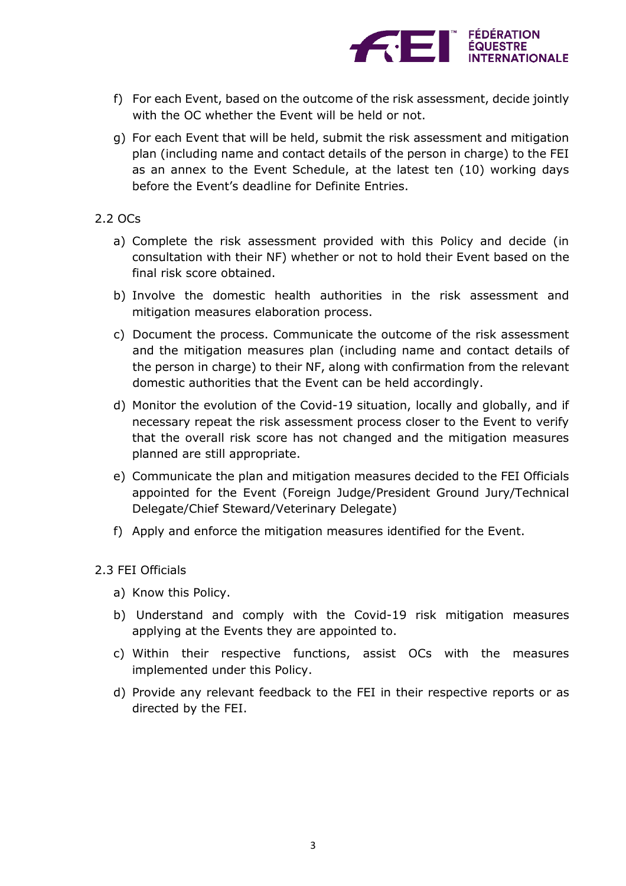

- f) For each Event, based on the outcome of the risk assessment, decide jointly with the OC whether the Event will be held or not.
- g) For each Event that will be held, submit the risk assessment and mitigation plan (including name and contact details of the person in charge) to the FEI as an annex to the Event Schedule, at the latest ten (10) working days before the Event's deadline for Definite Entries.

#### 2.2 OCs

- a) Complete the risk assessment provided with this Policy and decide (in consultation with their NF) whether or not to hold their Event based on the final risk score obtained.
- b) Involve the domestic health authorities in the risk assessment and mitigation measures elaboration process.
- c) Document the process. Communicate the outcome of the risk assessment and the mitigation measures plan (including name and contact details of the person in charge) to their NF, along with confirmation from the relevant domestic authorities that the Event can be held accordingly.
- d) Monitor the evolution of the Covid-19 situation, locally and globally, and if necessary repeat the risk assessment process closer to the Event to verify that the overall risk score has not changed and the mitigation measures planned are still appropriate.
- e) Communicate the plan and mitigation measures decided to the FEI Officials appointed for the Event (Foreign Judge/President Ground Jury/Technical Delegate/Chief Steward/Veterinary Delegate)
- f) Apply and enforce the mitigation measures identified for the Event.

## 2.3 FEI Officials

- a) Know this Policy.
- b) Understand and comply with the Covid-19 risk mitigation measures applying at the Events they are appointed to.
- c) Within their respective functions, assist OCs with the measures implemented under this Policy.
- d) Provide any relevant feedback to the FEI in their respective reports or as directed by the FEI.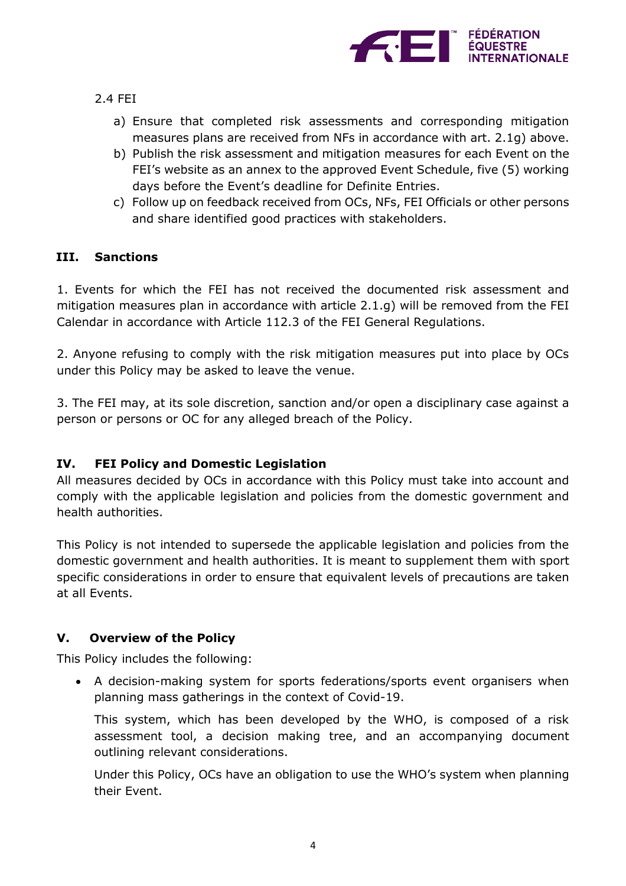

- 2.4 FEI
	- a) Ensure that completed risk assessments and corresponding mitigation measures plans are received from NFs in accordance with art. 2.1g) above.
	- b) Publish the risk assessment and mitigation measures for each Event on the FEI's website as an annex to the approved Event Schedule, five (5) working days before the Event's deadline for Definite Entries.
	- c) Follow up on feedback received from OCs, NFs, FEI Officials or other persons and share identified good practices with stakeholders.

## <span id="page-3-0"></span>**III. Sanctions**

1. Events for which the FEI has not received the documented risk assessment and mitigation measures plan in accordance with article 2.1.g) will be removed from the FEI Calendar in accordance with Article 112.3 of the FEI General Regulations.

2. Anyone refusing to comply with the risk mitigation measures put into place by OCs under this Policy may be asked to leave the venue.

3. The FEI may, at its sole discretion, sanction and/or open a disciplinary case against a person or persons or OC for any alleged breach of the Policy.

# <span id="page-3-1"></span>**IV. FEI Policy and Domestic Legislation**

All measures decided by OCs in accordance with this Policy must take into account and comply with the applicable legislation and policies from the domestic government and health authorities.

This Policy is not intended to supersede the applicable legislation and policies from the domestic government and health authorities. It is meant to supplement them with sport specific considerations in order to ensure that equivalent levels of precautions are taken at all Events.

# <span id="page-3-2"></span>**V. Overview of the Policy**

This Policy includes the following:

 A decision-making system for sports federations/sports event organisers when planning mass gatherings in the context of Covid-19.

This system, which has been developed by the WHO, is composed of a risk assessment tool, a decision making tree, and an accompanying document outlining relevant considerations.

Under this Policy, OCs have an obligation to use the WHO's system when planning their Event.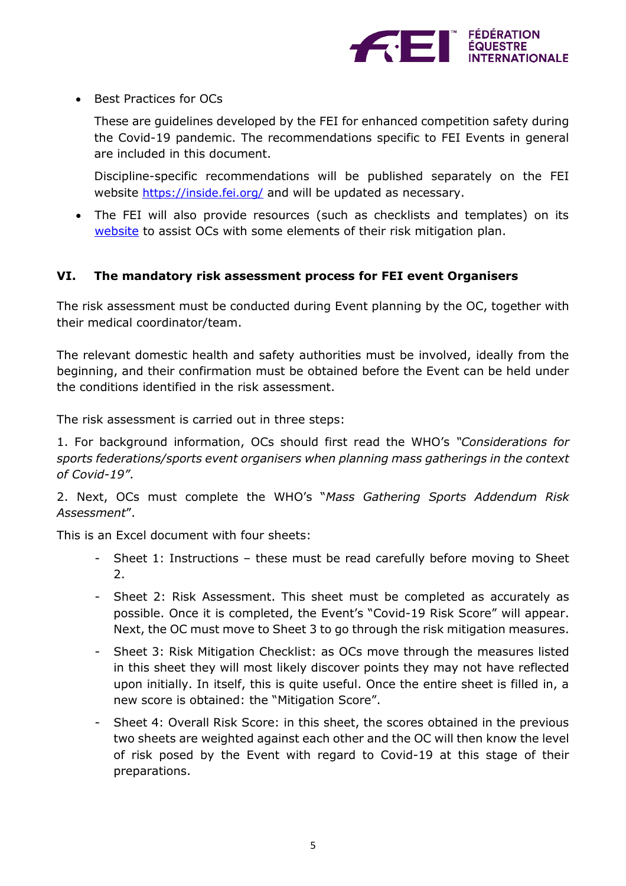

• Best Practices for OCs

These are guidelines developed by the FEI for enhanced competition safety during the Covid-19 pandemic. The recommendations specific to FEI Events in general are included in this document.

Discipline-specific recommendations will be published separately on the FEI website <https://inside.fei.org/> and will be updated as necessary.

 The FEI will also provide resources (such as checklists and templates) on its [website](https://inside.fei.org/) to assist OCs with some elements of their risk mitigation plan.

## <span id="page-4-0"></span>**VI. The mandatory risk assessment process for FEI event Organisers**

The risk assessment must be conducted during Event planning by the OC, together with their medical coordinator/team.

The relevant domestic health and safety authorities must be involved, ideally from the beginning, and their confirmation must be obtained before the Event can be held under the conditions identified in the risk assessment.

The risk assessment is carried out in three steps:

1. For background information, OCs should first read the WHO's *"Considerations for sports federations/sports event organisers when planning mass gatherings in the context of Covid-19"*.

2. Next, OCs must complete the WHO's "*Mass Gathering Sports Addendum Risk Assessment*".

This is an Excel document with four sheets:

- Sheet 1: Instructions these must be read carefully before moving to Sheet 2.
- Sheet 2: Risk Assessment. This sheet must be completed as accurately as possible. Once it is completed, the Event's "Covid-19 Risk Score" will appear. Next, the OC must move to Sheet 3 to go through the risk mitigation measures.
- Sheet 3: Risk Mitigation Checklist: as OCs move through the measures listed in this sheet they will most likely discover points they may not have reflected upon initially. In itself, this is quite useful. Once the entire sheet is filled in, a new score is obtained: the "Mitigation Score".
- Sheet 4: Overall Risk Score: in this sheet, the scores obtained in the previous two sheets are weighted against each other and the OC will then know the level of risk posed by the Event with regard to Covid-19 at this stage of their preparations.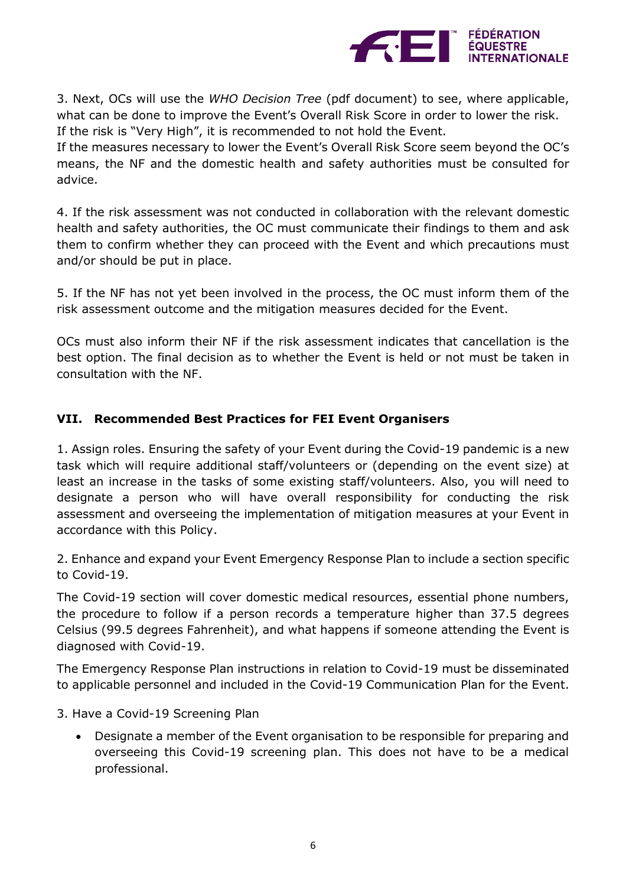

3. Next, OCs will use the *WHO Decision Tree* (pdf document) to see, where applicable, what can be done to improve the Event's Overall Risk Score in order to lower the risk. If the risk is "Very High", it is recommended to not hold the Event.

If the measures necessary to lower the Event's Overall Risk Score seem beyond the OC's means, the NF and the domestic health and safety authorities must be consulted for advice.

4. If the risk assessment was not conducted in collaboration with the relevant domestic health and safety authorities, the OC must communicate their findings to them and ask them to confirm whether they can proceed with the Event and which precautions must and/or should be put in place.

5. If the NF has not yet been involved in the process, the OC must inform them of the risk assessment outcome and the mitigation measures decided for the Event.

OCs must also inform their NF if the risk assessment indicates that cancellation is the best option. The final decision as to whether the Event is held or not must be taken in consultation with the NF.

# <span id="page-5-0"></span>**VII. Recommended Best Practices for FEI Event Organisers**

1. Assign roles. Ensuring the safety of your Event during the Covid-19 pandemic is a new task which will require additional staff/volunteers or (depending on the event size) at least an increase in the tasks of some existing staff/volunteers. Also, you will need to designate a person who will have overall responsibility for conducting the risk assessment and overseeing the implementation of mitigation measures at your Event in accordance with this Policy.

2. Enhance and expand your Event Emergency Response Plan to include a section specific to Covid-19.

The Covid-19 section will cover domestic medical resources, essential phone numbers, the procedure to follow if a person records a temperature higher than 37.5 degrees Celsius (99.5 degrees Fahrenheit), and what happens if someone attending the Event is diagnosed with Covid-19.

The Emergency Response Plan instructions in relation to Covid-19 must be disseminated to applicable personnel and included in the Covid-19 Communication Plan for the Event.

3. Have a Covid-19 Screening Plan

 Designate a member of the Event organisation to be responsible for preparing and overseeing this Covid-19 screening plan. This does not have to be a medical professional.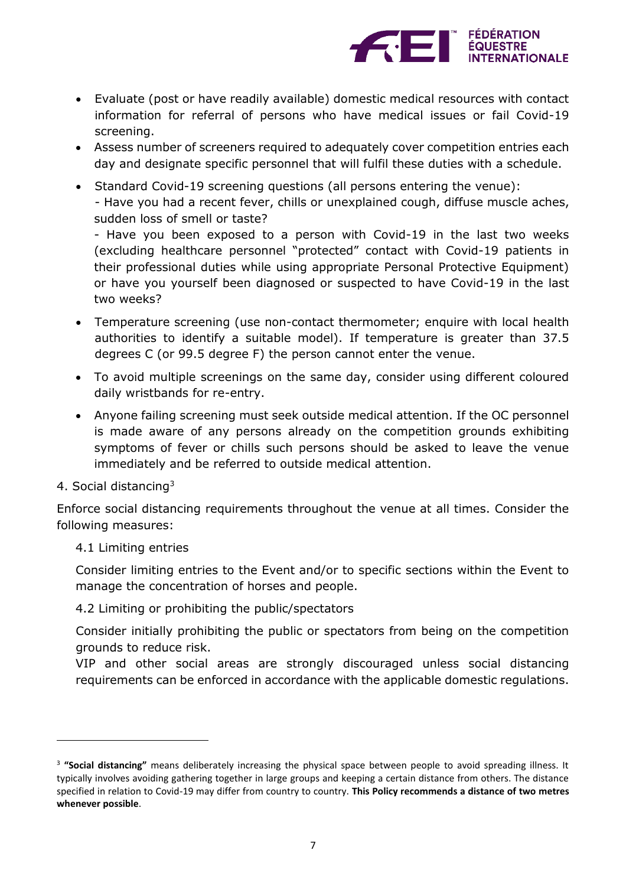

- Evaluate (post or have readily available) domestic medical resources with contact information for referral of persons who have medical issues or fail Covid-19 screening.
- Assess number of screeners required to adequately cover competition entries each day and designate specific personnel that will fulfil these duties with a schedule.
- Standard Covid-19 screening questions (all persons entering the venue): - Have you had a recent fever, chills or unexplained cough, diffuse muscle aches, sudden loss of smell or taste?

- Have you been exposed to a person with Covid-19 in the last two weeks (excluding healthcare personnel "protected" contact with Covid-19 patients in their professional duties while using appropriate Personal Protective Equipment) or have you yourself been diagnosed or suspected to have Covid-19 in the last two weeks?

- Temperature screening (use non-contact thermometer; enquire with local health authorities to identify a suitable model). If temperature is greater than 37.5 degrees C (or 99.5 degree F) the person cannot enter the venue.
- To avoid multiple screenings on the same day, consider using different coloured daily wristbands for re-entry.
- Anyone failing screening must seek outside medical attention. If the OC personnel is made aware of any persons already on the competition grounds exhibiting symptoms of fever or chills such persons should be asked to leave the venue immediately and be referred to outside medical attention.
- 4. Social distancing<sup>3</sup>

 $\overline{\phantom{a}}$ 

Enforce social distancing requirements throughout the venue at all times. Consider the following measures:

4.1 Limiting entries

Consider limiting entries to the Event and/or to specific sections within the Event to manage the concentration of horses and people.

4.2 Limiting or prohibiting the public/spectators

Consider initially prohibiting the public or spectators from being on the competition grounds to reduce risk.

VIP and other social areas are strongly discouraged unless social distancing requirements can be enforced in accordance with the applicable domestic regulations.

<sup>&</sup>lt;sup>3</sup> "Social distancing" means deliberately increasing the physical space between people to avoid spreading illness. It typically involves avoiding gathering together in large groups and keeping a certain distance from others. The distance specified in relation to Covid-19 may differ from country to country. **This Policy recommends a distance of two metres whenever possible**.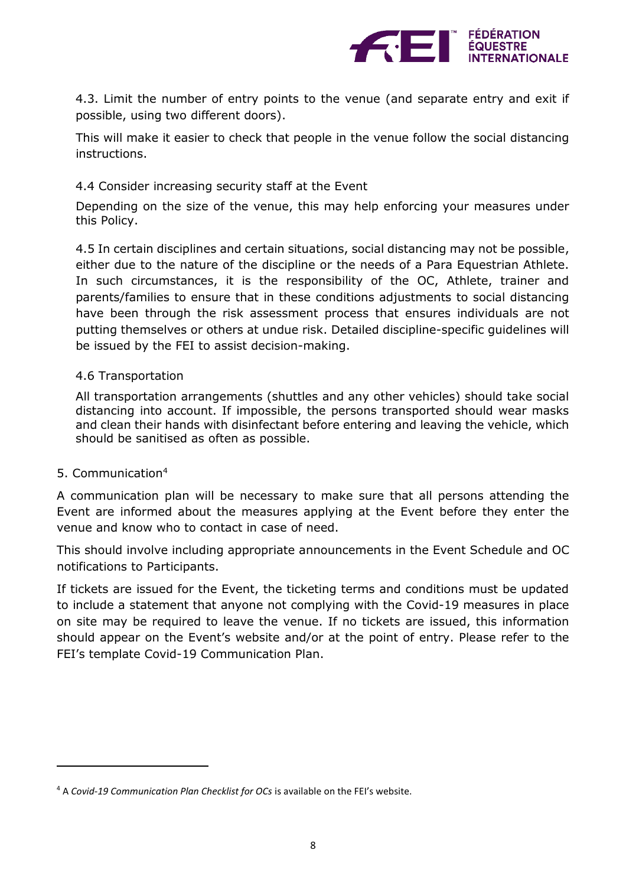

4.3. Limit the number of entry points to the venue (and separate entry and exit if possible, using two different doors).

This will make it easier to check that people in the venue follow the social distancing instructions.

## 4.4 Consider increasing security staff at the Event

Depending on the size of the venue, this may help enforcing your measures under this Policy.

4.5 In certain disciplines and certain situations, social distancing may not be possible, either due to the nature of the discipline or the needs of a Para Equestrian Athlete. In such circumstances, it is the responsibility of the OC, Athlete, trainer and parents/families to ensure that in these conditions adjustments to social distancing have been through the risk assessment process that ensures individuals are not putting themselves or others at undue risk. Detailed discipline-specific guidelines will be issued by the FEI to assist decision-making.

## 4.6 Transportation

All transportation arrangements (shuttles and any other vehicles) should take social distancing into account. If impossible, the persons transported should wear masks and clean their hands with disinfectant before entering and leaving the vehicle, which should be sanitised as often as possible.

## 5. Communication<sup>4</sup>

 $\overline{a}$ 

A communication plan will be necessary to make sure that all persons attending the Event are informed about the measures applying at the Event before they enter the venue and know who to contact in case of need.

This should involve including appropriate announcements in the Event Schedule and OC notifications to Participants.

If tickets are issued for the Event, the ticketing terms and conditions must be updated to include a statement that anyone not complying with the Covid-19 measures in place on site may be required to leave the venue. If no tickets are issued, this information should appear on the Event's website and/or at the point of entry. Please refer to the FEI's template Covid-19 Communication Plan.

<sup>4</sup> A *Covid-19 Communication Plan Checklist for OCs* is available on the FEI's website.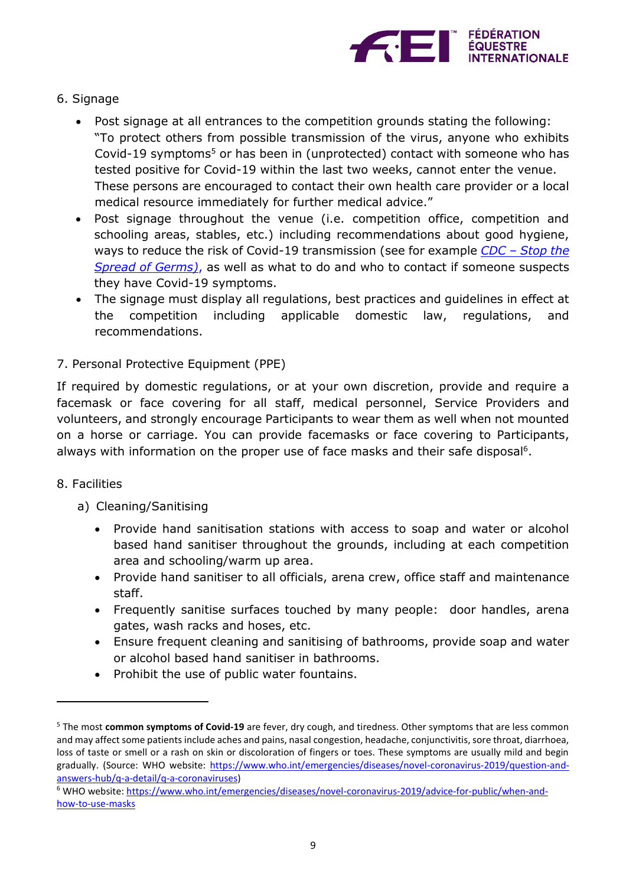

- 6. Signage
	- Post signage at all entrances to the competition grounds stating the following: "To protect others from possible transmission of the virus, anyone who exhibits Covid-19 symptoms <sup>5</sup> or has been in (unprotected) contact with someone who has tested positive for Covid-19 within the last two weeks, cannot enter the venue. These persons are encouraged to contact their own health care provider or a local medical resource immediately for further medical advice."
	- Post signage throughout the venue (i.e. competition office, competition and schooling areas, stables, etc.) including recommendations about good hygiene, ways to reduce the risk of Covid-19 transmission (see for example *CDC – [Stop the](https://www.cdc.gov/coronavirus/2019-ncov/downloads/stop-the-spread-of-germs.pdf)  [Spread of Germs\)](https://www.cdc.gov/coronavirus/2019-ncov/downloads/stop-the-spread-of-germs.pdf)*, as well as what to do and who to contact if someone suspects they have Covid-19 symptoms.
	- The signage must display all regulations, best practices and guidelines in effect at the competition including applicable domestic law, regulations, and recommendations.

# 7. Personal Protective Equipment (PPE)

If required by domestic regulations, or at your own discretion, provide and require a facemask or face covering for all staff, medical personnel, Service Providers and volunteers, and strongly encourage Participants to wear them as well when not mounted on a horse or carriage. You can provide facemasks or face covering to Participants, always with information on the proper use of face masks and their safe disposal<sup>6</sup>.

# 8. Facilities

 $\overline{a}$ 

- a) Cleaning/Sanitising
	- Provide hand sanitisation stations with access to soap and water or alcohol based hand sanitiser throughout the grounds, including at each competition area and schooling/warm up area.
	- Provide hand sanitiser to all officials, arena crew, office staff and maintenance staff.
	- Frequently sanitise surfaces touched by many people: door handles, arena gates, wash racks and hoses, etc.
	- Ensure frequent cleaning and sanitising of bathrooms, provide soap and water or alcohol based hand sanitiser in bathrooms.
	- Prohibit the use of public water fountains.

<sup>5</sup> The most **common symptoms of Covid-19** are fever, dry cough, and tiredness. Other symptoms that are less common and may affect some patients include aches and pains, nasal congestion, headache, conjunctivitis, sore throat, diarrhoea, loss of taste or smell or a rash on skin or discoloration of fingers or toes. These symptoms are usually mild and begin gradually. (Source: WHO website: [https://www.who.int/emergencies/diseases/novel-coronavirus-2019/question-and](https://www.who.int/emergencies/diseases/novel-coronavirus-2019/question-and-answers-hub/q-a-detail/q-a-coronaviruses)[answers-hub/q-a-detail/q-a-coronaviruses\)](https://www.who.int/emergencies/diseases/novel-coronavirus-2019/question-and-answers-hub/q-a-detail/q-a-coronaviruses)

<sup>6</sup> WHO website: [https://www.who.int/emergencies/diseases/novel-coronavirus-2019/advice-for-public/when-and](https://www.who.int/emergencies/diseases/novel-coronavirus-2019/advice-for-public/when-and-how-to-use-masks)[how-to-use-masks](https://www.who.int/emergencies/diseases/novel-coronavirus-2019/advice-for-public/when-and-how-to-use-masks)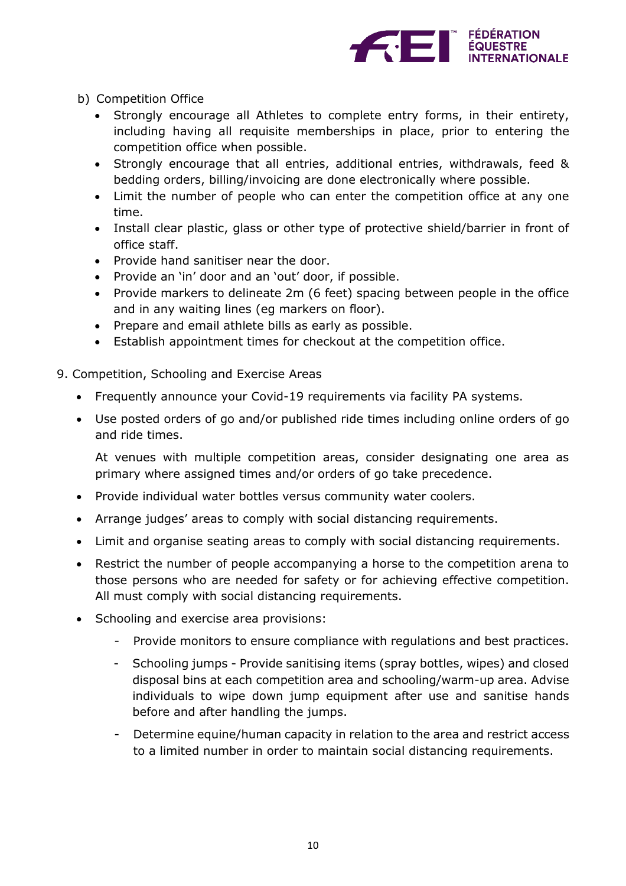

- b) Competition Office
	- Strongly encourage all Athletes to complete entry forms, in their entirety, including having all requisite memberships in place, prior to entering the competition office when possible.
	- Strongly encourage that all entries, additional entries, withdrawals, feed & bedding orders, billing/invoicing are done electronically where possible.
	- Limit the number of people who can enter the competition office at any one time.
	- Install clear plastic, glass or other type of protective shield/barrier in front of office staff.
	- Provide hand sanitiser near the door.
	- Provide an 'in' door and an 'out' door, if possible.
	- Provide markers to delineate 2m (6 feet) spacing between people in the office and in any waiting lines (eg markers on floor).
	- Prepare and email athlete bills as early as possible.
	- Establish appointment times for checkout at the competition office.
- 9. Competition, Schooling and Exercise Areas
	- Frequently announce your Covid-19 requirements via facility PA systems.
	- Use posted orders of go and/or published ride times including online orders of go and ride times.

At venues with multiple competition areas, consider designating one area as primary where assigned times and/or orders of go take precedence.

- Provide individual water bottles versus community water coolers.
- Arrange judges' areas to comply with social distancing requirements.
- Limit and organise seating areas to comply with social distancing requirements.
- Restrict the number of people accompanying a horse to the competition arena to those persons who are needed for safety or for achieving effective competition. All must comply with social distancing requirements.
- Schooling and exercise area provisions:
	- Provide monitors to ensure compliance with regulations and best practices.
	- Schooling jumps Provide sanitising items (spray bottles, wipes) and closed disposal bins at each competition area and schooling/warm-up area. Advise individuals to wipe down jump equipment after use and sanitise hands before and after handling the jumps.
	- Determine equine/human capacity in relation to the area and restrict access to a limited number in order to maintain social distancing requirements.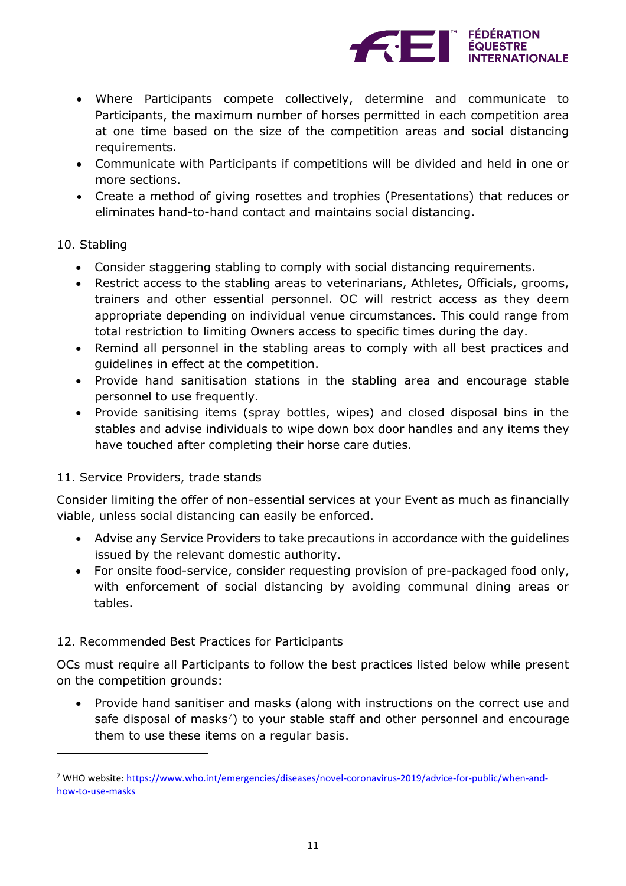

- Where Participants compete collectively, determine and communicate to Participants, the maximum number of horses permitted in each competition area at one time based on the size of the competition areas and social distancing requirements.
- Communicate with Participants if competitions will be divided and held in one or more sections.
- Create a method of giving rosettes and trophies (Presentations) that reduces or eliminates hand-to-hand contact and maintains social distancing.

## 10. Stabling

 $\overline{a}$ 

- Consider staggering stabling to comply with social distancing requirements.
- Restrict access to the stabling areas to veterinarians, Athletes, Officials, grooms, trainers and other essential personnel. OC will restrict access as they deem appropriate depending on individual venue circumstances. This could range from total restriction to limiting Owners access to specific times during the day.
- Remind all personnel in the stabling areas to comply with all best practices and guidelines in effect at the competition.
- Provide hand sanitisation stations in the stabling area and encourage stable personnel to use frequently.
- Provide sanitising items (spray bottles, wipes) and closed disposal bins in the stables and advise individuals to wipe down box door handles and any items they have touched after completing their horse care duties.

# 11. Service Providers, trade stands

Consider limiting the offer of non-essential services at your Event as much as financially viable, unless social distancing can easily be enforced.

- Advise any Service Providers to take precautions in accordance with the guidelines issued by the relevant domestic authority.
- For onsite food-service, consider requesting provision of pre-packaged food only, with enforcement of social distancing by avoiding communal dining areas or tables.

# 12. Recommended Best Practices for Participants

OCs must require all Participants to follow the best practices listed below while present on the competition grounds:

• Provide hand sanitiser and masks (along with instructions on the correct use and safe disposal of masks<sup>7</sup>) to your stable staff and other personnel and encourage them to use these items on a regular basis.

<sup>&</sup>lt;sup>7</sup> WHO website: [https://www.who.int/emergencies/diseases/novel-coronavirus-2019/advice-for-public/when-and](https://www.who.int/emergencies/diseases/novel-coronavirus-2019/advice-for-public/when-and-how-to-use-masks)[how-to-use-masks](https://www.who.int/emergencies/diseases/novel-coronavirus-2019/advice-for-public/when-and-how-to-use-masks)